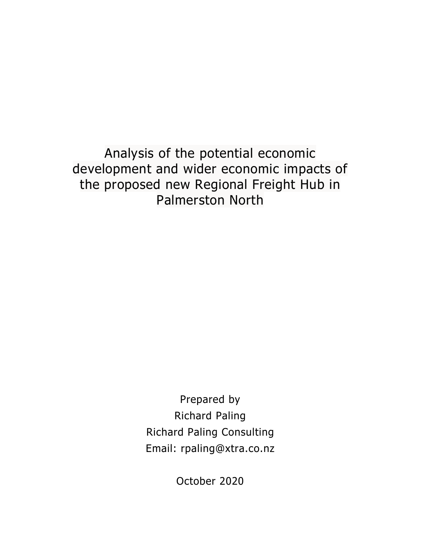Analysis of the potential economic development and wider economic impacts of the proposed new Regional Freight Hub in Palmerston North

> Prepared by Richard Paling Richard Paling Consulting Email: rpaling@xtra.co.nz

> > October 2020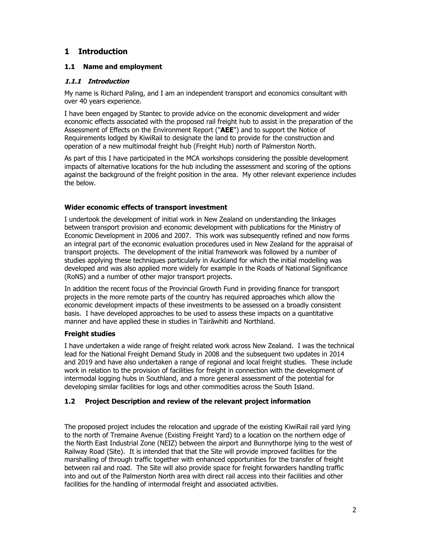## **1 Introduction**

### **1.1 Name and employment**

#### **1.1.1 Introduction**

My name is Richard Paling, and I am an independent transport and economics consultant with over 40 years experience.

I have been engaged by Stantec to provide advice on the economic development and wider economic effects associated with the proposed rail freight hub to assist in the preparation of the Assessment of Effects on the Environment Report ("**AEE**") and to support the Notice of Requirements lodged by KiwiRail to designate the land to provide for the construction and operation of a new multimodal freight hub (Freight Hub) north of Palmerston North.

As part of this I have participated in the MCA workshops considering the possible development impacts of alternative locations for the hub including the assessment and scoring of the options against the background of the freight position in the area. My other relevant experience includes the below.

#### **Wider economic effects of transport investment**

I undertook the development of initial work in New Zealand on understanding the linkages between transport provision and economic development with publications for the Ministry of Economic Development in 2006 and 2007. This work was subsequently refined and now forms an integral part of the economic evaluation procedures used in New Zealand for the appraisal of transport projects. The development of the initial framework was followed by a number of studies applying these techniques particularly in Auckland for which the initial modelling was developed and was also applied more widely for example in the Roads of National Significance (RoNS) and a number of other major transport projects.

In addition the recent focus of the Provincial Growth Fund in providing finance for transport projects in the more remote parts of the country has required approaches which allow the economic development impacts of these investments to be assessed on a broadly consistent basis. I have developed approaches to be used to assess these impacts on a quantitative manner and have applied these in studies in Tairāwhiti and Northland.

## **Freight studies**

I have undertaken a wide range of freight related work across New Zealand. I was the technical lead for the National Freight Demand Study in 2008 and the subsequent two updates in 2014 and 2019 and have also undertaken a range of regional and local freight studies. These include work in relation to the provision of facilities for freight in connection with the development of intermodal logging hubs in Southland, and a more general assessment of the potential for developing similar facilities for logs and other commodities across the South Island.

## **1.2 Project Description and review of the relevant project information**

The proposed project includes the relocation and upgrade of the existing KiwiRail rail yard lying to the north of Tremaine Avenue (Existing Freight Yard) to a location on the northern edge of the North East Industrial Zone (NEIZ) between the airport and Bunnythorpe lying to the west of Railway Road (Site). It is intended that that the Site will provide improved facilities for the marshalling of through traffic together with enhanced opportunities for the transfer of freight between rail and road. The Site will also provide space for freight forwarders handling traffic into and out of the Palmerston North area with direct rail access into their facilities and other facilities for the handling of intermodal freight and associated activities.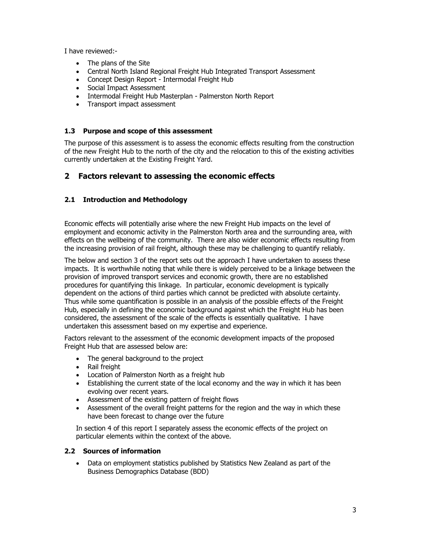I have reviewed:-

- The plans of the Site
- Central North Island Regional Freight Hub Integrated Transport Assessment
- Concept Design Report Intermodal Freight Hub
- Social Impact Assessment
- Intermodal Freight Hub Masterplan Palmerston North Report
- Transport impact assessment

#### **1.3 Purpose and scope of this assessment**

The purpose of this assessment is to assess the economic effects resulting from the construction of the new Freight Hub to the north of the city and the relocation to this of the existing activities currently undertaken at the Existing Freight Yard.

## **2 Factors relevant to assessing the economic effects**

## **2.1 Introduction and Methodology**

Economic effects will potentially arise where the new Freight Hub impacts on the level of employment and economic activity in the Palmerston North area and the surrounding area, with effects on the wellbeing of the community. There are also wider economic effects resulting from the increasing provision of rail freight, although these may be challenging to quantify reliably.

The below and section 3 of the report sets out the approach I have undertaken to assess these impacts. It is worthwhile noting that while there is widely perceived to be a linkage between the provision of improved transport services and economic growth, there are no established procedures for quantifying this linkage. In particular, economic development is typically dependent on the actions of third parties which cannot be predicted with absolute certainty. Thus while some quantification is possible in an analysis of the possible effects of the Freight Hub, especially in defining the economic background against which the Freight Hub has been considered, the assessment of the scale of the effects is essentially qualitative. I have undertaken this assessment based on my expertise and experience.

Factors relevant to the assessment of the economic development impacts of the proposed Freight Hub that are assessed below are:

- The general background to the project
- Rail freight
- Location of Palmerston North as a freight hub
- Establishing the current state of the local economy and the way in which it has been evolving over recent years.
- Assessment of the existing pattern of freight flows
- Assessment of the overall freight patterns for the region and the way in which these have been forecast to change over the future

In section 4 of this report I separately assess the economic effects of the project on particular elements within the context of the above.

#### **2.2 Sources of information**

 Data on employment statistics published by Statistics New Zealand as part of the Business Demographics Database (BDD)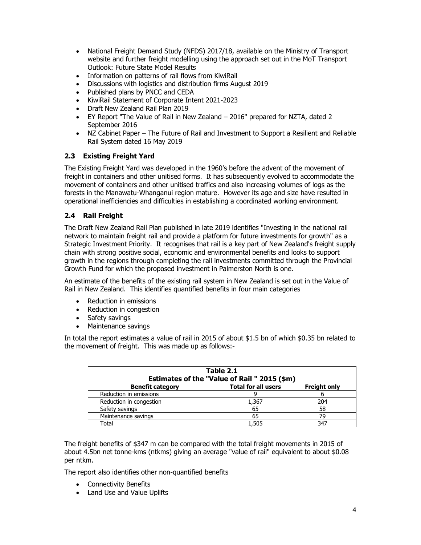- National Freight Demand Study (NFDS) 2017/18, available on the Ministry of Transport website and further freight modelling using the approach set out in the MoT Transport Outlook: Future State Model Results
- Information on patterns of rail flows from KiwiRail
- Discussions with logistics and distribution firms August 2019
- Published plans by PNCC and CEDA
- KiwiRail Statement of Corporate Intent 2021-2023
- Draft New Zealand Rail Plan 2019
- EY Report "The Value of Rail in New Zealand 2016" prepared for NZTA, dated 2 September 2016
- NZ Cabinet Paper The Future of Rail and Investment to Support a Resilient and Reliable Rail System dated 16 May 2019

#### **2.3 Existing Freight Yard**

The Existing Freight Yard was developed in the 1960's before the advent of the movement of freight in containers and other unitised forms. It has subsequently evolved to accommodate the movement of containers and other unitised traffics and also increasing volumes of logs as the forests in the Manawatu-Whanganui region mature. However its age and size have resulted in operational inefficiencies and difficulties in establishing a coordinated working environment.

## **2.4 Rail Freight**

The Draft New Zealand Rail Plan published in late 2019 identifies "Investing in the national rail network to maintain freight rail and provide a platform for future investments for growth" as a Strategic Investment Priority. It recognises that rail is a key part of New Zealand's freight supply chain with strong positive social, economic and environmental benefits and looks to support growth in the regions through completing the rail investments committed through the Provincial Growth Fund for which the proposed investment in Palmerston North is one.

An estimate of the benefits of the existing rail system in New Zealand is set out in the Value of Rail in New Zealand. This identifies quantified benefits in four main categories

- Reduction in emissions
- Reduction in congestion
- Safety savings
- Maintenance savings

In total the report estimates a value of rail in 2015 of about \$1.5 bn of which \$0.35 bn related to the movement of freight. This was made up as follows:-

| Table 2.1<br>Estimates of the "Value of Rail " 2015 (\$m)                    |       |     |  |  |  |  |
|------------------------------------------------------------------------------|-------|-----|--|--|--|--|
| <b>Total for all users</b><br><b>Freight only</b><br><b>Benefit category</b> |       |     |  |  |  |  |
| Reduction in emissions                                                       |       |     |  |  |  |  |
| Reduction in congestion                                                      | 1,367 | 204 |  |  |  |  |
| Safety savings                                                               | 65    | 58  |  |  |  |  |
| Maintenance savings                                                          | 65    | 79  |  |  |  |  |
| Total                                                                        | 1,505 | 347 |  |  |  |  |

The freight benefits of \$347 m can be compared with the total freight movements in 2015 of about 4.5bn net tonne-kms (ntkms) giving an average "value of rail" equivalent to about \$0.08 per ntkm.

The report also identifies other non-quantified benefits

- Connectivity Benefits
- Land Use and Value Uplifts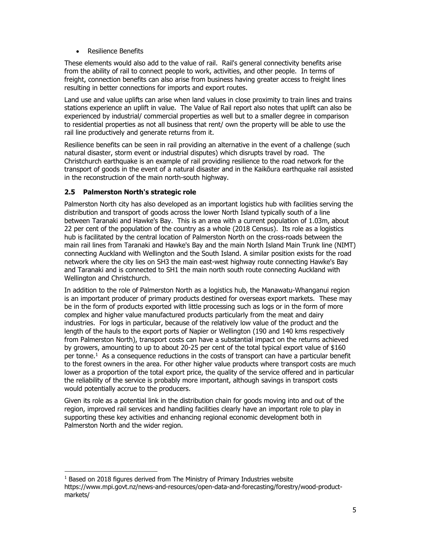Resilience Benefits

These elements would also add to the value of rail. Rail's general connectivity benefits arise from the ability of rail to connect people to work, activities, and other people. In terms of freight, connection benefits can also arise from business having greater access to freight lines resulting in better connections for imports and export routes.

Land use and value uplifts can arise when land values in close proximity to train lines and trains stations experience an uplift in value. The Value of Rail report also notes that uplift can also be experienced by industrial/ commercial properties as well but to a smaller degree in comparison to residential properties as not all business that rent/ own the property will be able to use the rail line productively and generate returns from it.

Resilience benefits can be seen in rail providing an alternative in the event of a challenge (such natural disaster, storm event or industrial disputes) which disrupts travel by road. The Christchurch earthquake is an example of rail providing resilience to the road network for the transport of goods in the event of a natural disaster and in the Kaikōura earthquake rail assisted in the reconstruction of the main north-south highway.

## **2.5 Palmerston North's strategic role**

Palmerston North city has also developed as an important logistics hub with facilities serving the distribution and transport of goods across the lower North Island typically south of a line between Taranaki and Hawke's Bay. This is an area with a current population of 1.03m, about 22 per cent of the population of the country as a whole (2018 Census). Its role as a logistics hub is facilitated by the central location of Palmerston North on the cross-roads between the main rail lines from Taranaki and Hawke's Bay and the main North Island Main Trunk line (NIMT) connecting Auckland with Wellington and the South Island. A similar position exists for the road network where the city lies on SH3 the main east-west highway route connecting Hawke's Bay and Taranaki and is connected to SH1 the main north south route connecting Auckland with Wellington and Christchurch.

In addition to the role of Palmerston North as a logistics hub, the Manawatu-Whanganui region is an important producer of primary products destined for overseas export markets. These may be in the form of products exported with little processing such as logs or in the form of more complex and higher value manufactured products particularly from the meat and dairy industries. For logs in particular, because of the relatively low value of the product and the length of the hauls to the export ports of Napier or Wellington (190 and 140 kms respectively from Palmerston North), transport costs can have a substantial impact on the returns achieved by growers, amounting to up to about 20-25 per cent of the total typical export value of \$160 per tonne.1 As a consequence reductions in the costs of transport can have a particular benefit to the forest owners in the area. For other higher value products where transport costs are much lower as a proportion of the total export price, the quality of the service offered and in particular the reliability of the service is probably more important, although savings in transport costs would potentially accrue to the producers.

Given its role as a potential link in the distribution chain for goods moving into and out of the region, improved rail services and handling facilities clearly have an important role to play in supporting these key activities and enhancing regional economic development both in Palmerston North and the wider region.

 $1$  Based on 2018 figures derived from The Ministry of Primary Industries website https://www.mpi.govt.nz/news-and-resources/open-data-and-forecasting/forestry/wood-productmarkets/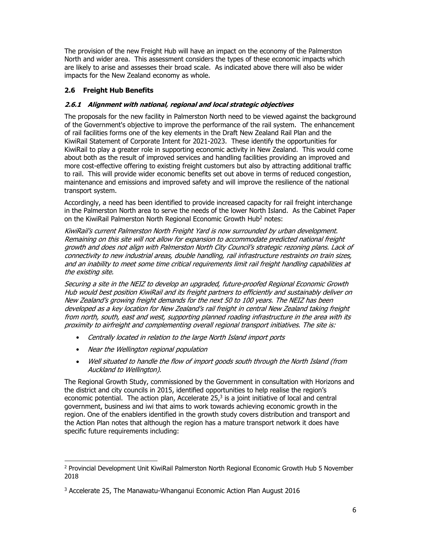The provision of the new Freight Hub will have an impact on the economy of the Palmerston North and wider area. This assessment considers the types of these economic impacts which are likely to arise and assesses their broad scale. As indicated above there will also be wider impacts for the New Zealand economy as whole.

## **2.6 Freight Hub Benefits**

#### **2.6.1 Alignment with national, regional and local strategic objectives**

The proposals for the new facility in Palmerston North need to be viewed against the background of the Government's objective to improve the performance of the rail system. The enhancement of rail facilities forms one of the key elements in the Draft New Zealand Rail Plan and the KiwiRail Statement of Corporate Intent for 2021-2023. These identify the opportunities for KiwiRail to play a greater role in supporting economic activity in New Zealand. This would come about both as the result of improved services and handling facilities providing an improved and more cost-effective offering to existing freight customers but also by attracting additional traffic to rail. This will provide wider economic benefits set out above in terms of reduced congestion, maintenance and emissions and improved safety and will improve the resilience of the national transport system.

Accordingly, a need has been identified to provide increased capacity for rail freight interchange in the Palmerston North area to serve the needs of the lower North Island. As the Cabinet Paper on the KiwiRail Palmerston North Regional Economic Growth Hub<sup>2</sup> notes:

KiwiRail's current Palmerston North Freight Yard is now surrounded by urban development. Remaining on this site will not allow for expansion to accommodate predicted national freight growth and does not align with Palmerston North City Council's strategic rezoning plans. Lack of connectivity to new industrial areas, double handling, rail infrastructure restraints on train sizes, and an inability to meet some time critical requirements limit rail freight handling capabilities at the existing site.

Securing a site in the NEIZ to develop an upgraded, future-proofed Regional Economic Growth Hub would best position KiwiRail and its freight partners to efficiently and sustainably deliver on New Zealand's growing freight demands for the next 50 to 100 years. The NEIZ has been developed as a key location for New Zealand's rail freight in central New Zealand taking freight from north, south, east and west, supporting planned roading infrastructure in the area with its proximity to airfreight and complementing overall regional transport initiatives. The site is:

- Centrally located in relation to the large North Island import ports
- Near the Wellington regional population
- Well situated to handle the flow of import goods south through the North Island (from Auckland to Wellington).

The Regional Growth Study, commissioned by the Government in consultation with Horizons and the district and city councils in 2015, identified opportunities to help realise the region's economic potential. The action plan, Accelerate  $25<sup>3</sup>$  is a joint initiative of local and central government, business and iwi that aims to work towards achieving economic growth in the region. One of the enablers identified in the growth study covers distribution and transport and the Action Plan notes that although the region has a mature transport network it does have specific future requirements including:

<sup>2</sup> Provincial Development Unit KiwiRail Palmerston North Regional Economic Growth Hub 5 November 2018

<sup>3</sup> Accelerate 25, The Manawatu-Whanganui Economic Action Plan August 2016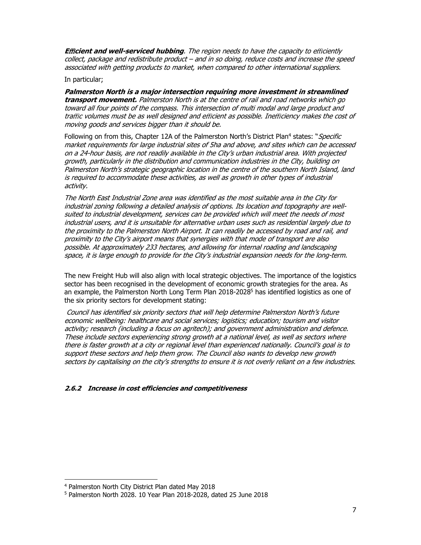**E**ffi**cient and well-serviced hubbing**. The region needs to have the capacity to efficiently collect, package and redistribute product – and in so doing, reduce costs and increase the speed associated with getting products to market, when compared to other international suppliers.

In particular;

**Palmerston North is a major intersection requiring more investment in streamlined transport movement.** Palmerston North is at the centre of rail and road networks which go toward all four points of the compass. This intersection of multi modal and large product and traffic volumes must be as well designed and efficient as possible. Inefficiency makes the cost of moving goods and services bigger than it should be.

Following on from this, Chapter 12A of the Palmerston North's District Plan<sup>4</sup> states: "Specific market requirements for large industrial sites of 5ha and above, and sites which can be accessed on a 24-hour basis, are not readily available in the City's urban industrial area. With projected growth, particularly in the distribution and communication industries in the City, building on Palmerston North's strategic geographic location in the centre of the southern North Island, land is required to accommodate these activities, as well as growth in other types of industrial activity.

The North East Industrial Zone area was identified as the most suitable area in the City for industrial zoning following a detailed analysis of options. Its location and topography are wellsuited to industrial development, services can be provided which will meet the needs of most industrial users, and it is unsuitable for alternative urban uses such as residential largely due to the proximity to the Palmerston North Airport. It can readily be accessed by road and rail, and proximity to the City's airport means that synergies with that mode of transport are also possible. At approximately 233 hectares, and allowing for internal roading and landscaping space, it is large enough to provide for the City's industrial expansion needs for the long-term.

The new Freight Hub will also align with local strategic objectives. The importance of the logistics sector has been recognised in the development of economic growth strategies for the area. As an example, the Palmerston North Long Term Plan  $2018$ - $2028$ <sup>5</sup> has identified logistics as one of the six priority sectors for development stating:

Council has identified six priority sectors that will help determine Palmerston North's future economic wellbeing: healthcare and social services; logistics; education; tourism and visitor activity; research (including a focus on agritech); and government administration and defence. These include sectors experiencing strong growth at a national level, as well as sectors where there is faster growth at a city or regional level than experienced nationally. Council's goal is to support these sectors and help them grow. The Council also wants to develop new growth sectors by capitalising on the city's strengths to ensure it is not overly reliant on a few industries.

#### **2.6.2 Increase in cost efficiencies and competitiveness**

<sup>4</sup> Palmerston North City District Plan dated May 2018

<sup>5</sup> Palmerston North 2028. 10 Year Plan 2018-2028, dated 25 June 2018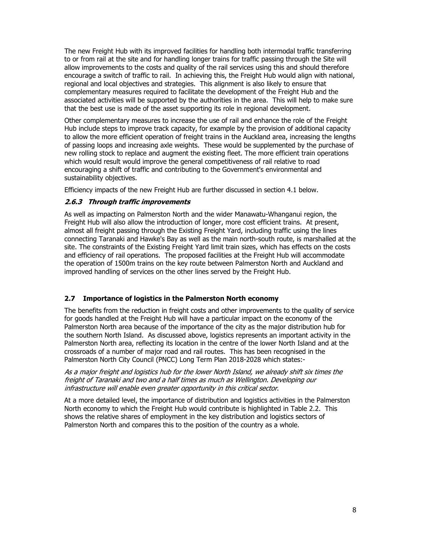The new Freight Hub with its improved facilities for handling both intermodal traffic transferring to or from rail at the site and for handling longer trains for traffic passing through the Site will allow improvements to the costs and quality of the rail services using this and should therefore encourage a switch of traffic to rail. In achieving this, the Freight Hub would align with national, regional and local objectives and strategies. This alignment is also likely to ensure that complementary measures required to facilitate the development of the Freight Hub and the associated activities will be supported by the authorities in the area. This will help to make sure that the best use is made of the asset supporting its role in regional development.

Other complementary measures to increase the use of rail and enhance the role of the Freight Hub include steps to improve track capacity, for example by the provision of additional capacity to allow the more efficient operation of freight trains in the Auckland area, increasing the lengths of passing loops and increasing axle weights. These would be supplemented by the purchase of new rolling stock to replace and augment the existing fleet. The more efficient train operations which would result would improve the general competitiveness of rail relative to road encouraging a shift of traffic and contributing to the Government's environmental and sustainability objectives.

Efficiency impacts of the new Freight Hub are further discussed in section 4.1 below.

#### **2.6.3 Through traffic improvements**

As well as impacting on Palmerston North and the wider Manawatu-Whanganui region, the Freight Hub will also allow the introduction of longer, more cost efficient trains. At present, almost all freight passing through the Existing Freight Yard, including traffic using the lines connecting Taranaki and Hawke's Bay as well as the main north-south route, is marshalled at the site. The constraints of the Existing Freight Yard limit train sizes, which has effects on the costs and efficiency of rail operations. The proposed facilities at the Freight Hub will accommodate the operation of 1500m trains on the key route between Palmerston North and Auckland and improved handling of services on the other lines served by the Freight Hub.

#### **2.7 Importance of logistics in the Palmerston North economy**

The benefits from the reduction in freight costs and other improvements to the quality of service for goods handled at the Freight Hub will have a particular impact on the economy of the Palmerston North area because of the importance of the city as the major distribution hub for the southern North Island. As discussed above, logistics represents an important activity in the Palmerston North area, reflecting its location in the centre of the lower North Island and at the crossroads of a number of major road and rail routes. This has been recognised in the Palmerston North City Council (PNCC) Long Term Plan 2018-2028 which states:-

As a major freight and logistics hub for the lower North Island, we already shift six times the freight of Taranaki and two and a half times as much as Wellington. Developing our infrastructure will enable even greater opportunity in this critical sector.

At a more detailed level, the importance of distribution and logistics activities in the Palmerston North economy to which the Freight Hub would contribute is highlighted in Table 2.2. This shows the relative shares of employment in the key distribution and logistics sectors of Palmerston North and compares this to the position of the country as a whole.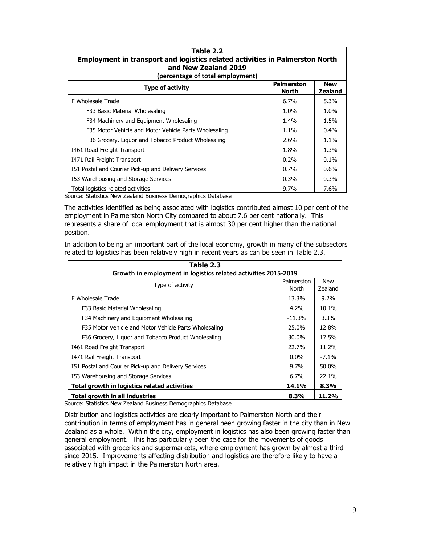| Table 2.2<br><b>Employment in transport and logistics related activities in Palmerston North</b><br>and New Zealand 2019<br>(percentage of total employment) |                                   |                              |  |  |  |  |
|--------------------------------------------------------------------------------------------------------------------------------------------------------------|-----------------------------------|------------------------------|--|--|--|--|
| <b>Type of activity</b>                                                                                                                                      | <b>Palmerston</b><br><b>North</b> | <b>New</b><br><b>Zealand</b> |  |  |  |  |
| <b>F Wholesale Trade</b>                                                                                                                                     | $6.7\%$                           | 5.3%                         |  |  |  |  |
| F33 Basic Material Wholesaling                                                                                                                               | 1.0%                              | 1.0%                         |  |  |  |  |
| F34 Machinery and Equipment Wholesaling                                                                                                                      | 1.4%                              | 1.5%                         |  |  |  |  |
| F35 Motor Vehicle and Motor Vehicle Parts Wholesaling                                                                                                        | $1.1\%$                           | $0.4\%$                      |  |  |  |  |
| F36 Grocery, Liguor and Tobacco Product Wholesaling                                                                                                          | $2.6\%$                           | $1.1\%$                      |  |  |  |  |
| 1461 Road Freight Transport                                                                                                                                  | 1.8%                              | 1.3%                         |  |  |  |  |
| 1471 Rail Freight Transport                                                                                                                                  | $0.2\%$                           | $0.1\%$                      |  |  |  |  |
| I51 Postal and Courier Pick-up and Delivery Services                                                                                                         | 0.7%                              | 0.6%                         |  |  |  |  |
| I53 Warehousing and Storage Services                                                                                                                         | $0.3\%$                           | $0.3\%$                      |  |  |  |  |
| Total logistics related activities                                                                                                                           | $9.7\%$                           | 7.6%                         |  |  |  |  |

Source: Statistics New Zealand Business Demographics Database

The activities identified as being associated with logistics contributed almost 10 per cent of the employment in Palmerston North City compared to about 7.6 per cent nationally. This represents a share of local employment that is almost 30 per cent higher than the national position.

In addition to being an important part of the local economy, growth in many of the subsectors related to logistics has been relatively high in recent years as can be seen in Table 2.3.

| Table 2.3<br>Growth in employment in logistics related activities 2015-2019 |                     |                       |  |  |  |  |
|-----------------------------------------------------------------------------|---------------------|-----------------------|--|--|--|--|
| Type of activity                                                            | Palmerston<br>North | <b>New</b><br>Zealand |  |  |  |  |
| F Wholesale Trade                                                           | 13.3%               | $9.2\%$               |  |  |  |  |
| F33 Basic Material Wholesaling                                              | $4.2\%$             | 10.1%                 |  |  |  |  |
| F34 Machinery and Equipment Wholesaling                                     | $-11.3%$            | $3.3\%$               |  |  |  |  |
| F35 Motor Vehicle and Motor Vehicle Parts Wholesaling                       | 25.0%               | 12.8%                 |  |  |  |  |
| F36 Grocery, Liquor and Tobacco Product Wholesaling                         | 30.0%               | 17.5%                 |  |  |  |  |
| 1461 Road Freight Transport                                                 | 22.7%               | 11.2%                 |  |  |  |  |
| 1471 Rail Freight Transport                                                 | $0.0\%$             | $-7.1\%$              |  |  |  |  |
| I51 Postal and Courier Pick-up and Delivery Services                        | $9.7\%$             | 50.0%                 |  |  |  |  |
| I53 Warehousing and Storage Services                                        | $6.7\%$             | 22.1%                 |  |  |  |  |
| Total growth in logistics related activities                                | 14.1%               | 8.3%                  |  |  |  |  |
| Total growth in all industries                                              | 8.3%                | 11.2%                 |  |  |  |  |

Source: Statistics New Zealand Business Demographics Database

Distribution and logistics activities are clearly important to Palmerston North and their contribution in terms of employment has in general been growing faster in the city than in New Zealand as a whole. Within the city, employment in logistics has also been growing faster than general employment. This has particularly been the case for the movements of goods associated with groceries and supermarkets, where employment has grown by almost a third since 2015. Improvements affecting distribution and logistics are therefore likely to have a relatively high impact in the Palmerston North area.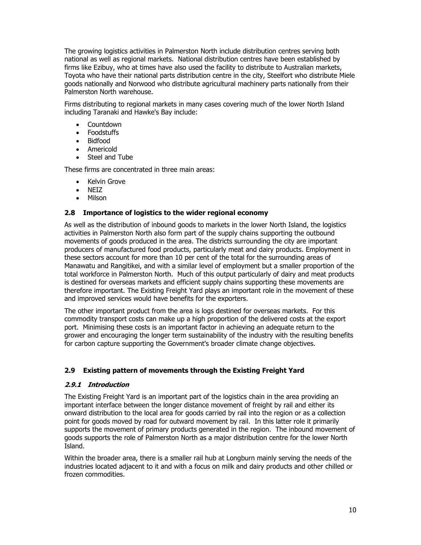The growing logistics activities in Palmerston North include distribution centres serving both national as well as regional markets. National distribution centres have been established by firms like Ezibuy, who at times have also used the facility to distribute to Australian markets, Toyota who have their national parts distribution centre in the city, Steelfort who distribute Miele goods nationally and Norwood who distribute agricultural machinery parts nationally from their Palmerston North warehouse.

Firms distributing to regional markets in many cases covering much of the lower North Island including Taranaki and Hawke's Bay include:

- **Countdown**
- Foodstuffs
- Bidfood
- Americold
- Steel and Tube

These firms are concentrated in three main areas:

- Kelvin Grove
- NEIZ
- Milson

#### **2.8 Importance of logistics to the wider regional economy**

As well as the distribution of inbound goods to markets in the lower North Island, the logistics activities in Palmerston North also form part of the supply chains supporting the outbound movements of goods produced in the area. The districts surrounding the city are important producers of manufactured food products, particularly meat and dairy products. Employment in these sectors account for more than 10 per cent of the total for the surrounding areas of Manawatu and Rangitikei, and with a similar level of employment but a smaller proportion of the total workforce in Palmerston North. Much of this output particularly of dairy and meat products is destined for overseas markets and efficient supply chains supporting these movements are therefore important. The Existing Freight Yard plays an important role in the movement of these and improved services would have benefits for the exporters.

The other important product from the area is logs destined for overseas markets. For this commodity transport costs can make up a high proportion of the delivered costs at the export port. Minimising these costs is an important factor in achieving an adequate return to the grower and encouraging the longer term sustainability of the industry with the resulting benefits for carbon capture supporting the Government's broader climate change objectives.

#### **2.9 Existing pattern of movements through the Existing Freight Yard**

#### **2.9.1 Introduction**

The Existing Freight Yard is an important part of the logistics chain in the area providing an important interface between the longer distance movement of freight by rail and either its onward distribution to the local area for goods carried by rail into the region or as a collection point for goods moved by road for outward movement by rail. In this latter role it primarily supports the movement of primary products generated in the region. The inbound movement of goods supports the role of Palmerston North as a major distribution centre for the lower North Island.

Within the broader area, there is a smaller rail hub at Longburn mainly serving the needs of the industries located adjacent to it and with a focus on milk and dairy products and other chilled or frozen commodities.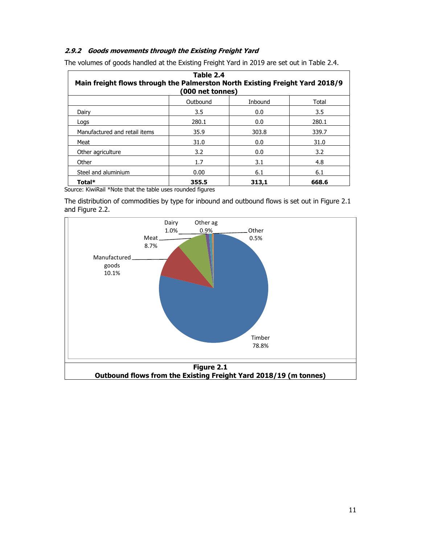#### **2.9.2 Goods movements through the Existing Freight Yard**

| Table 2.4<br>Main freight flows through the Palmerston North Existing Freight Yard 2018/9<br>(000 net tonnes) |          |         |       |  |  |  |
|---------------------------------------------------------------------------------------------------------------|----------|---------|-------|--|--|--|
|                                                                                                               | Outbound | Inbound | Total |  |  |  |
| Dairy                                                                                                         | 3.5      | 0.0     | 3.5   |  |  |  |
| Logs                                                                                                          | 280.1    | 0.0     | 280.1 |  |  |  |
| Manufactured and retail items                                                                                 | 35.9     | 303.8   | 339.7 |  |  |  |
| Meat                                                                                                          | 31.0     | 0.0     | 31.0  |  |  |  |
| Other agriculture                                                                                             | 3.2      | 0.0     | 3.2   |  |  |  |
| Other                                                                                                         | 1.7      | 3.1     | 4.8   |  |  |  |
| Steel and aluminium                                                                                           | 0.00     | 6.1     | 6.1   |  |  |  |
| Total*                                                                                                        | 355.5    | 313,1   | 668.6 |  |  |  |

The volumes of goods handled at the Existing Freight Yard in 2019 are set out in Table 2.4.

Source: KiwiRail \*Note that the table uses rounded figures

The distribution of commodities by type for inbound and outbound flows is set out in Figure 2.1 and Figure 2.2.

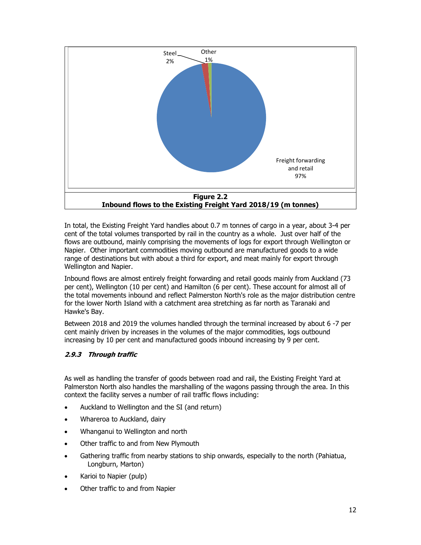

In total, the Existing Freight Yard handles about 0.7 m tonnes of cargo in a year, about 3-4 per cent of the total volumes transported by rail in the country as a whole. Just over half of the flows are outbound, mainly comprising the movements of logs for export through Wellington or Napier. Other important commodities moving outbound are manufactured goods to a wide range of destinations but with about a third for export, and meat mainly for export through Wellington and Napier.

Inbound flows are almost entirely freight forwarding and retail goods mainly from Auckland (73 per cent), Wellington (10 per cent) and Hamilton (6 per cent). These account for almost all of the total movements inbound and reflect Palmerston North's role as the major distribution centre for the lower North Island with a catchment area stretching as far north as Taranaki and Hawke's Bay.

Between 2018 and 2019 the volumes handled through the terminal increased by about 6 -7 per cent mainly driven by increases in the volumes of the major commodities, logs outbound increasing by 10 per cent and manufactured goods inbound increasing by 9 per cent.

## **2.9.3 Through traffic**

As well as handling the transfer of goods between road and rail, the Existing Freight Yard at Palmerston North also handles the marshalling of the wagons passing through the area. In this context the facility serves a number of rail traffic flows including:

- Auckland to Wellington and the SI (and return)
- Whareroa to Auckland, dairy
- Whanganui to Wellington and north
- Other traffic to and from New Plymouth
- Gathering traffic from nearby stations to ship onwards, especially to the north (Pahiatua, Longburn, Marton)
- Karioi to Napier (pulp)
- Other traffic to and from Napier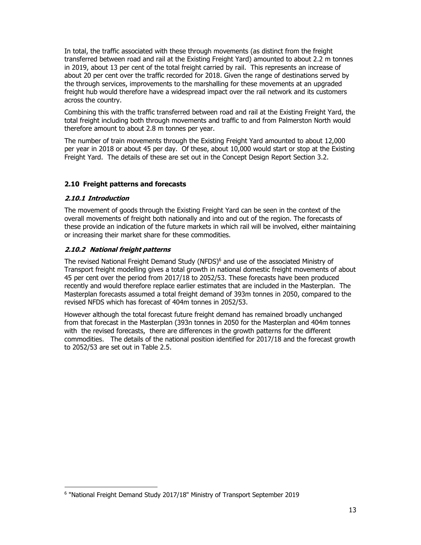In total, the traffic associated with these through movements (as distinct from the freight transferred between road and rail at the Existing Freight Yard) amounted to about 2.2 m tonnes in 2019, about 13 per cent of the total freight carried by rail. This represents an increase of about 20 per cent over the traffic recorded for 2018. Given the range of destinations served by the through services, improvements to the marshalling for these movements at an upgraded freight hub would therefore have a widespread impact over the rail network and its customers across the country.

Combining this with the traffic transferred between road and rail at the Existing Freight Yard, the total freight including both through movements and traffic to and from Palmerston North would therefore amount to about 2.8 m tonnes per year.

The number of train movements through the Existing Freight Yard amounted to about 12,000 per year in 2018 or about 45 per day. Of these, about 10,000 would start or stop at the Existing Freight Yard. The details of these are set out in the Concept Design Report Section 3.2.

## **2.10 Freight patterns and forecasts**

#### **2.10.1 Introduction**

The movement of goods through the Existing Freight Yard can be seen in the context of the overall movements of freight both nationally and into and out of the region. The forecasts of these provide an indication of the future markets in which rail will be involved, either maintaining or increasing their market share for these commodities.

#### **2.10.2 National freight patterns**

The revised National Freight Demand Study (NFDS) $6$  and use of the associated Ministry of Transport freight modelling gives a total growth in national domestic freight movements of about 45 per cent over the period from 2017/18 to 2052/53. These forecasts have been produced recently and would therefore replace earlier estimates that are included in the Masterplan. The Masterplan forecasts assumed a total freight demand of 393m tonnes in 2050, compared to the revised NFDS which has forecast of 404m tonnes in 2052/53.

However although the total forecast future freight demand has remained broadly unchanged from that forecast in the Masterplan (393n tonnes in 2050 for the Masterplan and 404m tonnes with the revised forecasts, there are differences in the growth patterns for the different commodities. The details of the national position identified for 2017/18 and the forecast growth to 2052/53 are set out in Table 2.5.

<sup>6 &</sup>quot;National Freight Demand Study 2017/18" Ministry of Transport September 2019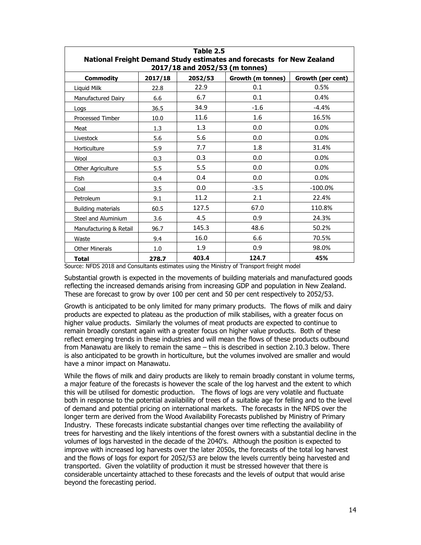| Table 2.5<br>National Freight Demand Study estimates and forecasts for New Zealand<br>2017/18 and 2052/53 (m tonnes) |      |       |        |            |  |  |  |  |  |
|----------------------------------------------------------------------------------------------------------------------|------|-------|--------|------------|--|--|--|--|--|
| <b>Commodity</b><br>2017/18<br>2052/53<br>Growth (m tonnes)<br>Growth (per cent)                                     |      |       |        |            |  |  |  |  |  |
| Liquid Milk                                                                                                          | 22.8 | 22.9  | 0.1    | 0.5%       |  |  |  |  |  |
| Manufactured Dairy                                                                                                   | 6.6  | 6.7   | 0.1    | 0.4%       |  |  |  |  |  |
| Logs                                                                                                                 | 36.5 | 34.9  | $-1.6$ | $-4.4%$    |  |  |  |  |  |
| <b>Processed Timber</b>                                                                                              | 10.0 | 11.6  | 1.6    | 16.5%      |  |  |  |  |  |
| Meat                                                                                                                 | 1.3  | 1.3   | 0.0    | 0.0%       |  |  |  |  |  |
| Livestock                                                                                                            | 5.6  | 5.6   | 0.0    | 0.0%       |  |  |  |  |  |
| Horticulture                                                                                                         | 5.9  | 7.7   | 1.8    | 31.4%      |  |  |  |  |  |
| Wool                                                                                                                 | 0.3  | 0.3   | 0.0    | 0.0%       |  |  |  |  |  |
| Other Agriculture                                                                                                    | 5.5  | 5.5   | 0.0    | 0.0%       |  |  |  |  |  |
| Fish                                                                                                                 | 0.4  | 0.4   | 0.0    | 0.0%       |  |  |  |  |  |
| Coal                                                                                                                 | 3.5  | 0.0   | $-3.5$ | $-100.0\%$ |  |  |  |  |  |
| Petroleum                                                                                                            | 9.1  | 11.2  | 2.1    | 22.4%      |  |  |  |  |  |
| <b>Building materials</b>                                                                                            | 60.5 | 127.5 | 67.0   | 110.8%     |  |  |  |  |  |
| Steel and Aluminium                                                                                                  | 3.6  | 4.5   | 0.9    | 24.3%      |  |  |  |  |  |
| Manufacturing & Retail                                                                                               | 96.7 | 145.3 | 48.6   | 50.2%      |  |  |  |  |  |
| Waste                                                                                                                | 9.4  | 16.0  | 6.6    | 70.5%      |  |  |  |  |  |
| <b>Other Minerals</b>                                                                                                | 1.0  | 1.9   | 0.9    | 98.0%      |  |  |  |  |  |
| 403.4<br>124.7<br>45%<br><b>Total</b><br>278.7                                                                       |      |       |        |            |  |  |  |  |  |

Source: NFDS 2018 and Consultants estimates using the Ministry of Transport freight model

Substantial growth is expected in the movements of building materials and manufactured goods reflecting the increased demands arising from increasing GDP and population in New Zealand. These are forecast to grow by over 100 per cent and 50 per cent respectively to 2052/53.

Growth is anticipated to be only limited for many primary products. The flows of milk and dairy products are expected to plateau as the production of milk stabilises, with a greater focus on higher value products. Similarly the volumes of meat products are expected to continue to remain broadly constant again with a greater focus on higher value products. Both of these reflect emerging trends in these industries and will mean the flows of these products outbound from Manawatu are likely to remain the same – this is described in section 2.10.3 below. There is also anticipated to be growth in horticulture, but the volumes involved are smaller and would have a minor impact on Manawatu.

While the flows of milk and dairy products are likely to remain broadly constant in volume terms, a major feature of the forecasts is however the scale of the log harvest and the extent to which this will be utilised for domestic production. The flows of logs are very volatile and fluctuate both in response to the potential availability of trees of a suitable age for felling and to the level of demand and potential pricing on international markets. The forecasts in the NFDS over the longer term are derived from the Wood Availability Forecasts published by Ministry of Primary Industry. These forecasts indicate substantial changes over time reflecting the availability of trees for harvesting and the likely intentions of the forest owners with a substantial decline in the volumes of logs harvested in the decade of the 2040's. Although the position is expected to improve with increased log harvests over the later 2050s, the forecasts of the total log harvest and the flows of logs for export for 2052/53 are below the levels currently being harvested and transported. Given the volatility of production it must be stressed however that there is considerable uncertainty attached to these forecasts and the levels of output that would arise beyond the forecasting period.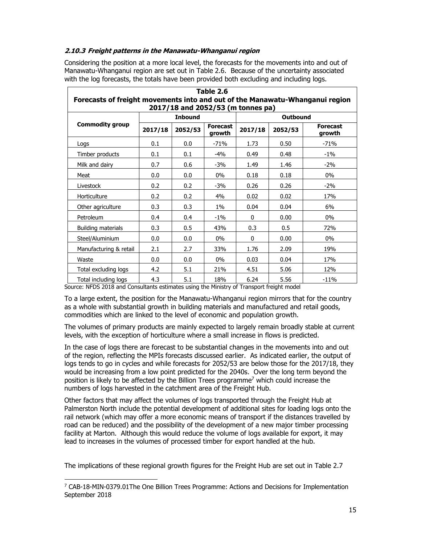#### **2.10.3 Freight patterns in the Manawatu-Whanganui region**

Considering the position at a more local level, the forecasts for the movements into and out of Manawatu-Whanganui region are set out in Table 2.6. Because of the uncertainty associated with the log forecasts, the totals have been provided both excluding and including logs.

| Table 2.6<br>Forecasts of freight movements into and out of the Manawatu-Whanganui region |         |                                      |        |         |         |                           |  |  |
|-------------------------------------------------------------------------------------------|---------|--------------------------------------|--------|---------|---------|---------------------------|--|--|
| 2017/18 and 2052/53 (m tonnes pa)<br><b>Inbound</b><br><b>Outbound</b>                    |         |                                      |        |         |         |                           |  |  |
| <b>Commodity group</b>                                                                    | 2017/18 | <b>Forecast</b><br>2052/53<br>growth |        | 2017/18 | 2052/53 | <b>Forecast</b><br>growth |  |  |
| Logs                                                                                      | 0.1     | 0.0                                  | $-71%$ | 1.73    | 0.50    | $-71%$                    |  |  |
| Timber products                                                                           | 0.1     | 0.1                                  | $-4%$  | 0.49    | 0.48    | $-1\%$                    |  |  |
| Milk and dairy                                                                            | 0.7     | 0.6                                  | $-3%$  | 1.49    | 1.46    | $-2%$                     |  |  |
| Meat                                                                                      | 0.0     | 0.0                                  | $0\%$  | 0.18    | 0.18    | $0\%$                     |  |  |
| Livestock                                                                                 | 0.2     | 0.2                                  | -3%    | 0.26    | 0.26    | $-2\%$                    |  |  |
| Horticulture                                                                              | 0.2     | 0.2                                  | 4%     | 0.02    | 0.02    | 17%                       |  |  |
| Other agriculture                                                                         | 0.3     | 0.3                                  | $1\%$  | 0.04    | 0.04    | 6%                        |  |  |
| Petroleum                                                                                 | 0.4     | 0.4                                  | $-1\%$ | 0       | 0.00    | $0\%$                     |  |  |
| Building materials                                                                        | 0.3     | 0.5                                  | 43%    | 0.3     | 0.5     | 72%                       |  |  |
| Steel/Aluminium                                                                           | 0.0     | 0.0                                  | $0\%$  | 0       | 0.00    | $0\%$                     |  |  |
| Manufacturing & retail                                                                    | 2.1     | 2.7                                  | 33%    | 1.76    | 2.09    | 19%                       |  |  |
| Waste                                                                                     | $0.0\,$ | 0.0                                  | $0\%$  | 0.03    | 0.04    | 17%                       |  |  |
| Total excluding logs                                                                      | 4.2     | 5.1                                  | 21%    | 4.51    | 5.06    | 12%                       |  |  |
| Total including logs                                                                      | 4.3     | 5.1                                  | 18%    | 6.24    | 5.56    | $-11%$                    |  |  |

Source: NFDS 2018 and Consultants estimates using the Ministry of Transport freight model

To a large extent, the position for the Manawatu-Whanganui region mirrors that for the country as a whole with substantial growth in building materials and manufactured and retail goods, commodities which are linked to the level of economic and population growth.

The volumes of primary products are mainly expected to largely remain broadly stable at current levels, with the exception of horticulture where a small increase in flows is predicted.

In the case of logs there are forecast to be substantial changes in the movements into and out of the region, reflecting the MPIs forecasts discussed earlier. As indicated earlier, the output of logs tends to go in cycles and while forecasts for 2052/53 are below those for the 2017/18, they would be increasing from a low point predicted for the 2040s. Over the long term beyond the position is likely to be affected by the Billion Trees programme7 which could increase the numbers of logs harvested in the catchment area of the Freight Hub.

Other factors that may affect the volumes of logs transported through the Freight Hub at Palmerston North include the potential development of additional sites for loading logs onto the rail network (which may offer a more economic means of transport if the distances travelled by road can be reduced) and the possibility of the development of a new major timber processing facility at Marton. Although this would reduce the volume of logs available for export, it may lead to increases in the volumes of processed timber for export handled at the hub.

The implications of these regional growth figures for the Freight Hub are set out in Table 2.7

 $7$  CAB-18-MIN-0379.01The One Billion Trees Programme: Actions and Decisions for Implementation September 2018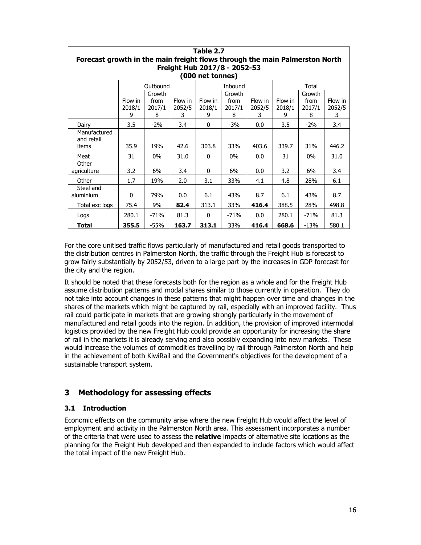| Table 2.7                                                                   |             |             |             |              |             |             |             |             |             |
|-----------------------------------------------------------------------------|-------------|-------------|-------------|--------------|-------------|-------------|-------------|-------------|-------------|
| Forecast growth in the main freight flows through the main Palmerston North |             |             |             |              |             |             |             |             |             |
| Freight Hub 2017/8 - 2052-53                                                |             |             |             |              |             |             |             |             |             |
| (000 net tonnes)                                                            |             |             |             |              |             |             |             |             |             |
| Outbound<br>Inbound<br>Total                                                |             |             |             |              |             |             |             |             |             |
|                                                                             |             | Growth      |             |              | Growth      |             |             | Growth      |             |
|                                                                             | Flow in     | from        | Flow in     | Flow in      | from        | Flow in     | Flow in     | from        | Flow in     |
|                                                                             | 2018/1<br>9 | 2017/1<br>8 | 2052/5<br>3 | 2018/1<br>9  | 2017/1<br>8 | 2052/5<br>3 | 2018/1<br>9 | 2017/1<br>8 | 2052/5<br>3 |
| Dairy                                                                       | 3.5         | $-2%$       | 3.4         | $\mathbf{0}$ | $-3%$       | 0.0         | 3.5         | $-2%$       | 3.4         |
| Manufactured                                                                |             |             |             |              |             |             |             |             |             |
| and retail<br>items                                                         | 35.9        | 19%         | 42.6        | 303.8        | 33%         | 403.6       | 339.7       | 31%         | 446.2       |
| Meat                                                                        | 31          | $0\%$       | 31.0        | $\Omega$     | $0\%$       | 0.0         | 31          | $0\%$       | 31.0        |
| Other                                                                       |             |             |             |              |             |             |             |             |             |
| agriculture                                                                 | 3.2         | 6%          | 3.4         | $\Omega$     | 6%          | 0.0         | 3.2         | 6%          | 3.4         |
| Other                                                                       | 1.7         | 19%         | 2.0         | 3.1          | 33%         | 4.1         | 4.8         | 28%         | 6.1         |
| Steel and<br>aluminium                                                      | $\Omega$    | 79%         | 0.0         | 6.1          | 43%         | 8.7         | 6.1         | 43%         | 8.7         |
|                                                                             |             |             |             |              |             |             |             |             |             |
| Total exc logs                                                              | 75.4        | 9%          | 82.4        | 313.1        | 33%         | 416.4       | 388.5       | 28%         | 498.8       |
| Logs                                                                        | 280.1       | $-71%$      | 81.3        | 0            | $-71%$      | 0.0         | 280.1       | -71%        | 81.3        |
| Total                                                                       | 355.5       | $-55%$      | 163.7       | 313.1        | 33%         | 416.4       | 668.6       | $-13%$      | 580.1       |

For the core unitised traffic flows particularly of manufactured and retail goods transported to the distribution centres in Palmerston North, the traffic through the Freight Hub is forecast to grow fairly substantially by 2052/53, driven to a large part by the increases in GDP forecast for the city and the region.

It should be noted that these forecasts both for the region as a whole and for the Freight Hub assume distribution patterns and modal shares similar to those currently in operation. They do not take into account changes in these patterns that might happen over time and changes in the shares of the markets which might be captured by rail, especially with an improved facility. Thus rail could participate in markets that are growing strongly particularly in the movement of manufactured and retail goods into the region. In addition, the provision of improved intermodal logistics provided by the new Freight Hub could provide an opportunity for increasing the share of rail in the markets it is already serving and also possibly expanding into new markets. These would increase the volumes of commodities travelling by rail through Palmerston North and help in the achievement of both KiwiRail and the Government's objectives for the development of a sustainable transport system.

## **3 Methodology for assessing effects**

#### **3.1 Introduction**

Economic effects on the community arise where the new Freight Hub would affect the level of employment and activity in the Palmerston North area. This assessment incorporates a number of the criteria that were used to assess the **relative** impacts of alternative site locations as the planning for the Freight Hub developed and then expanded to include factors which would affect the total impact of the new Freight Hub.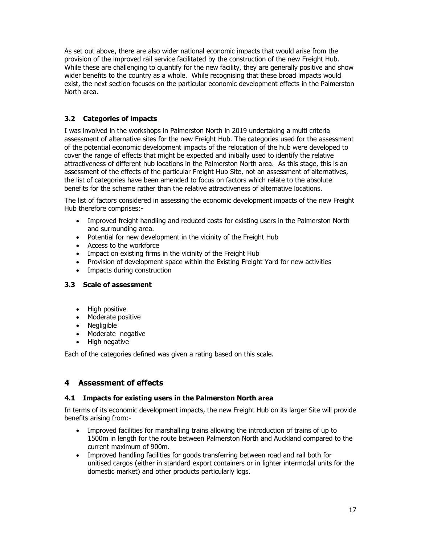As set out above, there are also wider national economic impacts that would arise from the provision of the improved rail service facilitated by the construction of the new Freight Hub. While these are challenging to quantify for the new facility, they are generally positive and show wider benefits to the country as a whole. While recognising that these broad impacts would exist, the next section focuses on the particular economic development effects in the Palmerston North area.

## **3.2 Categories of impacts**

I was involved in the workshops in Palmerston North in 2019 undertaking a multi criteria assessment of alternative sites for the new Freight Hub. The categories used for the assessment of the potential economic development impacts of the relocation of the hub were developed to cover the range of effects that might be expected and initially used to identify the relative attractiveness of different hub locations in the Palmerston North area. As this stage, this is an assessment of the effects of the particular Freight Hub Site, not an assessment of alternatives, the list of categories have been amended to focus on factors which relate to the absolute benefits for the scheme rather than the relative attractiveness of alternative locations.

The list of factors considered in assessing the economic development impacts of the new Freight Hub therefore comprises:-

- Improved freight handling and reduced costs for existing users in the Palmerston North and surrounding area.
- Potential for new development in the vicinity of the Freight Hub
- Access to the workforce
- Impact on existing firms in the vicinity of the Freight Hub
- Provision of development space within the Existing Freight Yard for new activities
- Impacts during construction

#### **3.3 Scale of assessment**

- High positive
- Moderate positive
- Negligible
- Moderate negative
- High negative

Each of the categories defined was given a rating based on this scale.

## **4 Assessment of effects**

#### **4.1 Impacts for existing users in the Palmerston North area**

In terms of its economic development impacts, the new Freight Hub on its larger Site will provide benefits arising from:-

- Improved facilities for marshalling trains allowing the introduction of trains of up to 1500m in length for the route between Palmerston North and Auckland compared to the current maximum of 900m.
- Improved handling facilities for goods transferring between road and rail both for unitised cargos (either in standard export containers or in lighter intermodal units for the domestic market) and other products particularly logs.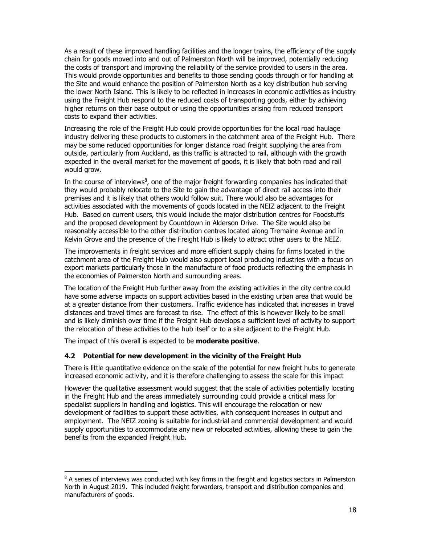As a result of these improved handling facilities and the longer trains, the efficiency of the supply chain for goods moved into and out of Palmerston North will be improved, potentially reducing the costs of transport and improving the reliability of the service provided to users in the area. This would provide opportunities and benefits to those sending goods through or for handling at the Site and would enhance the position of Palmerston North as a key distribution hub serving the lower North Island. This is likely to be reflected in increases in economic activities as industry using the Freight Hub respond to the reduced costs of transporting goods, either by achieving higher returns on their base output or using the opportunities arising from reduced transport costs to expand their activities.

Increasing the role of the Freight Hub could provide opportunities for the local road haulage industry delivering these products to customers in the catchment area of the Freight Hub. There may be some reduced opportunities for longer distance road freight supplying the area from outside, particularly from Auckland, as this traffic is attracted to rail, although with the growth expected in the overall market for the movement of goods, it is likely that both road and rail would grow.

In the course of interviews $<sup>8</sup>$ , one of the major freight forwarding companies has indicated that</sup> they would probably relocate to the Site to gain the advantage of direct rail access into their premises and it is likely that others would follow suit. There would also be advantages for activities associated with the movements of goods located in the NEIZ adjacent to the Freight Hub. Based on current users, this would include the major distribution centres for Foodstuffs and the proposed development by Countdown in Alderson Drive. The Site would also be reasonably accessible to the other distribution centres located along Tremaine Avenue and in Kelvin Grove and the presence of the Freight Hub is likely to attract other users to the NEIZ.

The improvements in freight services and more efficient supply chains for firms located in the catchment area of the Freight Hub would also support local producing industries with a focus on export markets particularly those in the manufacture of food products reflecting the emphasis in the economies of Palmerston North and surrounding areas.

The location of the Freight Hub further away from the existing activities in the city centre could have some adverse impacts on support activities based in the existing urban area that would be at a greater distance from their customers. Traffic evidence has indicated that increases in travel distances and travel times are forecast to rise. The effect of this is however likely to be small and is likely diminish over time if the Freight Hub develops a sufficient level of activity to support the relocation of these activities to the hub itself or to a site adjacent to the Freight Hub.

The impact of this overall is expected to be **moderate positive**.

#### **4.2 Potential for new development in the vicinity of the Freight Hub**

There is little quantitative evidence on the scale of the potential for new freight hubs to generate increased economic activity, and it is therefore challenging to assess the scale for this impact

However the qualitative assessment would suggest that the scale of activities potentially locating in the Freight Hub and the areas immediately surrounding could provide a critical mass for specialist suppliers in handling and logistics. This will encourage the relocation or new development of facilities to support these activities, with consequent increases in output and employment. The NEIZ zoning is suitable for industrial and commercial development and would supply opportunities to accommodate any new or relocated activities, allowing these to gain the benefits from the expanded Freight Hub.

<sup>&</sup>lt;sup>8</sup> A series of interviews was conducted with key firms in the freight and logistics sectors in Palmerston North in August 2019. This included freight forwarders, transport and distribution companies and manufacturers of goods.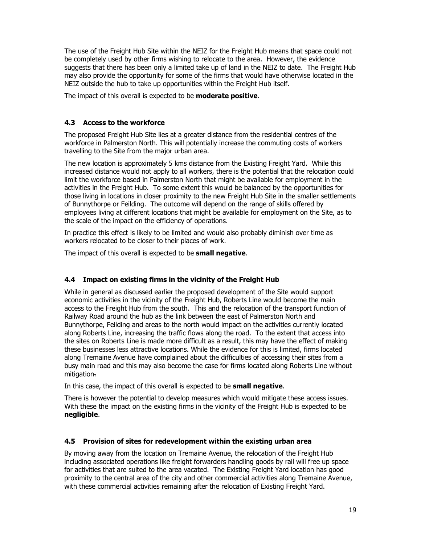The use of the Freight Hub Site within the NEIZ for the Freight Hub means that space could not be completely used by other firms wishing to relocate to the area. However, the evidence suggests that there has been only a limited take up of land in the NEIZ to date. The Freight Hub may also provide the opportunity for some of the firms that would have otherwise located in the NEIZ outside the hub to take up opportunities within the Freight Hub itself.

The impact of this overall is expected to be **moderate positive**.

#### **4.3 Access to the workforce**

The proposed Freight Hub Site lies at a greater distance from the residential centres of the workforce in Palmerston North. This will potentially increase the commuting costs of workers travelling to the Site from the major urban area.

The new location is approximately 5 kms distance from the Existing Freight Yard. While this increased distance would not apply to all workers, there is the potential that the relocation could limit the workforce based in Palmerston North that might be available for employment in the activities in the Freight Hub. To some extent this would be balanced by the opportunities for those living in locations in closer proximity to the new Freight Hub Site in the smaller settlements of Bunnythorpe or Feilding. The outcome will depend on the range of skills offered by employees living at different locations that might be available for employment on the Site, as to the scale of the impact on the efficiency of operations.

In practice this effect is likely to be limited and would also probably diminish over time as workers relocated to be closer to their places of work.

The impact of this overall is expected to be **small negative**.

#### **4.4 Impact on existing firms in the vicinity of the Freight Hub**

While in general as discussed earlier the proposed development of the Site would support economic activities in the vicinity of the Freight Hub, Roberts Line would become the main access to the Freight Hub from the south. This and the relocation of the transport function of Railway Road around the hub as the link between the east of Palmerston North and Bunnythorpe, Feilding and areas to the north would impact on the activities currently located along Roberts Line, increasing the traffic flows along the road. To the extent that access into the sites on Roberts Line is made more difficult as a result, this may have the effect of making these businesses less attractive locations. While the evidence for this is limited, firms located along Tremaine Avenue have complained about the difficulties of accessing their sites from a busy main road and this may also become the case for firms located along Roberts Line without mitigation.

In this case, the impact of this overall is expected to be **small negative**.

There is however the potential to develop measures which would mitigate these access issues. With these the impact on the existing firms in the vicinity of the Freight Hub is expected to be **negligible**.

#### **4.5 Provision of sites for redevelopment within the existing urban area**

By moving away from the location on Tremaine Avenue, the relocation of the Freight Hub including associated operations like freight forwarders handling goods by rail will free up space for activities that are suited to the area vacated. The Existing Freight Yard location has good proximity to the central area of the city and other commercial activities along Tremaine Avenue, with these commercial activities remaining after the relocation of Existing Freight Yard.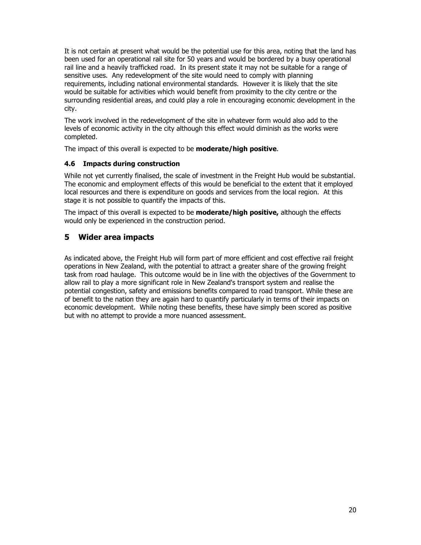It is not certain at present what would be the potential use for this area, noting that the land has been used for an operational rail site for 50 years and would be bordered by a busy operational rail line and a heavily trafficked road. In its present state it may not be suitable for a range of sensitive uses. Any redevelopment of the site would need to comply with planning requirements, including national environmental standards. However it is likely that the site would be suitable for activities which would benefit from proximity to the city centre or the surrounding residential areas, and could play a role in encouraging economic development in the city.

The work involved in the redevelopment of the site in whatever form would also add to the levels of economic activity in the city although this effect would diminish as the works were completed.

The impact of this overall is expected to be **moderate/high positive**.

#### **4.6 Impacts during construction**

While not yet currently finalised, the scale of investment in the Freight Hub would be substantial. The economic and employment effects of this would be beneficial to the extent that it employed local resources and there is expenditure on goods and services from the local region. At this stage it is not possible to quantify the impacts of this.

The impact of this overall is expected to be **moderate/high positive,** although the effects would only be experienced in the construction period.

## **5 Wider area impacts**

As indicated above, the Freight Hub will form part of more efficient and cost effective rail freight operations in New Zealand, with the potential to attract a greater share of the growing freight task from road haulage. This outcome would be in line with the objectives of the Government to allow rail to play a more significant role in New Zealand's transport system and realise the potential congestion, safety and emissions benefits compared to road transport. While these are of benefit to the nation they are again hard to quantify particularly in terms of their impacts on economic development. While noting these benefits, these have simply been scored as positive but with no attempt to provide a more nuanced assessment.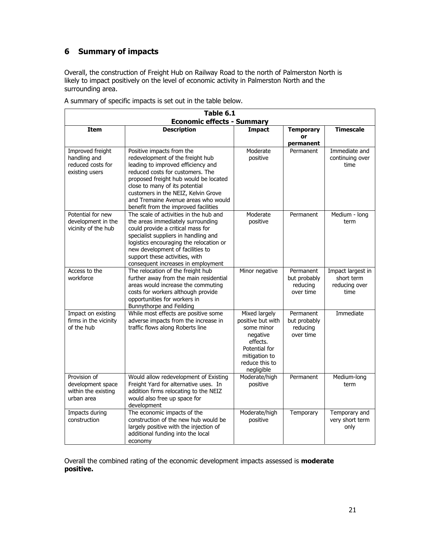# **6 Summary of impacts**

Overall, the construction of Freight Hub on Railway Road to the north of Palmerston North is likely to impact positively on the level of economic activity in Palmerston North and the surrounding area.

| Table 6.1<br><b>Economic effects - Summary</b>                          |                                                                                                                                                                                                                                                                                                                                          |                                                                                                                                            |                                                    |                                                          |  |  |  |
|-------------------------------------------------------------------------|------------------------------------------------------------------------------------------------------------------------------------------------------------------------------------------------------------------------------------------------------------------------------------------------------------------------------------------|--------------------------------------------------------------------------------------------------------------------------------------------|----------------------------------------------------|----------------------------------------------------------|--|--|--|
| <b>Item</b>                                                             | <b>Description</b>                                                                                                                                                                                                                                                                                                                       | <b>Impact</b>                                                                                                                              | <b>Temporary</b><br>or                             | <b>Timescale</b>                                         |  |  |  |
|                                                                         |                                                                                                                                                                                                                                                                                                                                          |                                                                                                                                            | permanent                                          |                                                          |  |  |  |
| Improved freight<br>handling and<br>reduced costs for<br>existing users | Positive impacts from the<br>redevelopment of the freight hub<br>leading to improved efficiency and<br>reduced costs for customers. The<br>proposed freight hub would be located<br>close to many of its potential<br>customers in the NEIZ, Kelvin Grove<br>and Tremaine Avenue areas who would<br>benefit from the improved facilities | Moderate<br>positive                                                                                                                       | Permanent                                          | Immediate and<br>continuing over<br>time                 |  |  |  |
| Potential for new<br>development in the<br>vicinity of the hub          | The scale of activities in the hub and<br>the areas immediately surrounding<br>could provide a critical mass for<br>specialist suppliers in handling and<br>logistics encouraging the relocation or<br>new development of facilities to<br>support these activities, with<br>consequent increases in employment                          | Moderate<br>positive                                                                                                                       | Permanent                                          | Medium - long<br>term                                    |  |  |  |
| Access to the<br>workforce                                              | The relocation of the freight hub<br>further away from the main residential<br>areas would increase the commuting<br>costs for workers although provide<br>opportunities for workers in<br>Bunnythorpe and Feilding                                                                                                                      | Minor negative                                                                                                                             | Permanent<br>but probably<br>reducing<br>over time | Impact largest in<br>short term<br>reducing over<br>time |  |  |  |
| Impact on existing<br>firms in the vicinity<br>of the hub               | While most effects are positive some<br>adverse impacts from the increase in<br>traffic flows along Roberts line                                                                                                                                                                                                                         | Mixed largely<br>positive but with<br>some minor<br>negative<br>effects.<br>Potential for<br>mitigation to<br>reduce this to<br>negligible | Permanent<br>but probably<br>reducing<br>over time | Immediate                                                |  |  |  |
| Provision of<br>development space<br>within the existing<br>urban area  | Would allow redevelopment of Existing<br>Freight Yard for alternative uses. In<br>addition firms relocating to the NEIZ<br>would also free up space for<br>development                                                                                                                                                                   | Moderate/high<br>positive                                                                                                                  | Permanent                                          | Medium-long<br>term                                      |  |  |  |
| Impacts during<br>construction                                          | The economic impacts of the<br>construction of the new hub would be<br>largely positive with the injection of<br>additional funding into the local<br>economy                                                                                                                                                                            | Moderate/high<br>positive                                                                                                                  | Temporary                                          | Temporary and<br>very short term<br>only                 |  |  |  |

A summary of specific impacts is set out in the table below.

Overall the combined rating of the economic development impacts assessed is **moderate positive.**